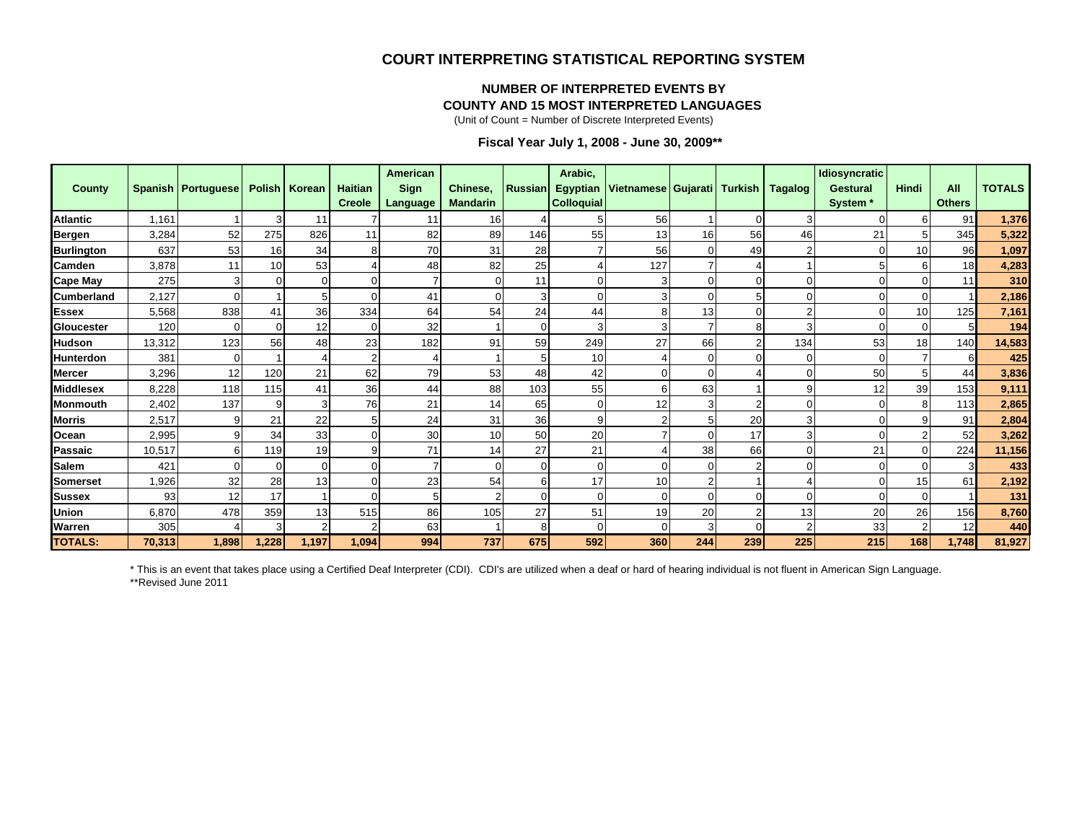#### **COURT INTERPRETING STATISTICAL REPORTING SYSTEM**

#### **NUMBER OF INTERPRETED EVENTS BY**

#### **COUNTY AND 15 MOST INTERPRETED LANGUAGES**

(Unit of Count = Number of Discrete Interpreted Events)

#### **Fiscal Year July 1, 2008 - June 30, 2009\*\***

| <b>County</b>     |        | <b>Spanish   Portuguese</b> | <b>Polish</b> | Korean | <b>Haitian</b><br><b>Creole</b> | <b>American</b><br><b>Sign</b><br>Language | Chinese,<br><b>Mandarin</b> | Russian | Arabic,<br><b>Egyptian</b><br><b>Colloquial</b> | Vietnamese   Gujarati |          | Turkish        | <b>Tagalog</b> | Idiosyncratic<br><b>Gestural</b><br>System <sup>*</sup> | Hindi | All<br><b>Others</b> | <b>TOTALS</b> |
|-------------------|--------|-----------------------------|---------------|--------|---------------------------------|--------------------------------------------|-----------------------------|---------|-------------------------------------------------|-----------------------|----------|----------------|----------------|---------------------------------------------------------|-------|----------------------|---------------|
| <b>Atlantic</b>   | 1,161  |                             |               | 11     |                                 | 11                                         | 16                          |         | 5                                               | 56                    |          | $\overline{0}$ | 3              |                                                         | 6     | 91                   | 1,376         |
| <b>Bergen</b>     | 3,284  | 52                          | 275           | 826    | 11                              | 82                                         | 89                          | 146     | 55                                              | 13                    | 16       | 56             | 46             | 21                                                      |       | 345                  | 5,322         |
| <b>Burlington</b> | 637    | 53                          | 16            | 34     | 8                               | 70                                         | 31                          | 28      |                                                 | 56                    | $\Omega$ | 49             | $\overline{2}$ |                                                         | 10    | 96                   | 1,097         |
| Camden            | 3,878  | 11                          | 10            | 53     |                                 | 48                                         | 82                          | 25      |                                                 | 127                   |          |                |                |                                                         | 6     | 18                   | 4,283         |
| <b>Cape May</b>   | 275    | 3                           |               |        | $\Omega$                        |                                            | $\Omega$                    | 11      | 0                                               |                       | $\Omega$ | $\overline{0}$ | 0              |                                                         |       | 11                   | 310           |
| <b>Cumberland</b> | 2,127  |                             |               |        | $\cap$                          | 41                                         |                             |         |                                                 |                       |          | 5 <sub>l</sub> |                |                                                         |       |                      | 2,186         |
| <b>Essex</b>      | 5,568  | 838                         | 41            | 36     | 334                             | 64                                         | 54                          | 24      | 44                                              |                       | 13       | 0              |                |                                                         | 10    | 125                  | 7,161         |
| Gloucester        | 120    |                             |               | 12     |                                 | 32                                         |                             |         | 3                                               |                       |          | 8              |                |                                                         |       |                      | 194           |
| <b>Hudson</b>     | 13,312 | 123                         | 56            | 48     | 23                              | 182                                        | 91                          | 59      | 249                                             | 27                    | 66       | $\overline{2}$ | 134            | 53                                                      | 18    | 140                  | 14,583        |
| Hunterdon         | 381    |                             |               |        |                                 |                                            |                             |         | 10                                              |                       |          | $\Omega$       |                |                                                         |       | 61                   | 425           |
| <b>Mercer</b>     | 3,296  | 12                          | 120           | 21     | 62                              | 79                                         | 53                          | 48      | 42                                              |                       |          |                | ი              | 50                                                      |       | 44                   | 3,836         |
| <b>Middlesex</b>  | 8,228  | 118                         | 115           | 41     | 36                              | 44                                         | 88                          | 103     | 55                                              |                       | 63       |                | 9              | 12                                                      | 39    | 153                  | 9,111         |
| <b>Monmouth</b>   | 2,402  | 137                         | 9             |        | 76                              | 21                                         | 14                          | 65      | $\Omega$                                        | 12                    |          | $\overline{2}$ | 0              |                                                         | 8     | 113                  | 2,865         |
| <b>Morris</b>     | 2,517  | 9                           | 21            | 22     | 5                               | 24                                         | 31                          | 36      | 9                                               |                       | 5        | 20             | 3              |                                                         |       | 91                   | 2,804         |
| Ocean             | 2,995  | 9                           | 34            | 33     | $\Omega$                        | 30                                         | 10                          | 50      | 20                                              |                       |          | 17             | 3              |                                                         |       | 52                   | 3,262         |
| Passaic           | 10,517 | 6                           | 119           | 19     | 9                               | 71                                         | 14                          | 27      | 21                                              |                       | 38       | 66             | 0              | 21                                                      |       | 224                  | 11,156        |
| <b>Salem</b>      | 421    | ∩                           |               |        | $\Omega$                        |                                            | $\mathbf 0$                 |         | 0                                               |                       |          |                |                |                                                         |       | 31                   | 433           |
| <b>Somerset</b>   | 1,926  | 32                          | 28            | 13     | $\Omega$                        | 23                                         | 54                          | 6       | 17                                              | 10                    |          |                |                |                                                         | 15    | 61                   | 2,192         |
| <b>Sussex</b>     | 93     | 12                          | 17            |        | $\Omega$                        |                                            |                             |         | 0                                               |                       |          | 0              |                |                                                         |       |                      | 131           |
| <b>Union</b>      | 6,870  | 478                         | 359           | 13     | 515                             | 86                                         | 105                         | 27      | 51                                              | 19                    | 20       | 2              | 13             | 20                                                      | 26    | 156                  | 8,760         |
| <b>Warren</b>     | 305    |                             | 3             |        |                                 | 63                                         |                             | 8       | 0                                               |                       | 3        | $\Omega$       | $\overline{2}$ | 33                                                      | 2     | 12                   | 440           |
| <b>TOTALS:</b>    | 70,313 | 1.898                       | 1,228         | 1,197  | 1.094                           | 994                                        | 737                         | 675     | 592                                             | 360                   | 244      | 239            | 225            | 215                                                     | 168   | 1,748                | 81,927        |

\* This is an event that takes place using a Certified Deaf Interpreter (CDI). CDI's are utilized when a deaf or hard of hearing individual is not fluent in American Sign Language.

\*\*Revised June 2011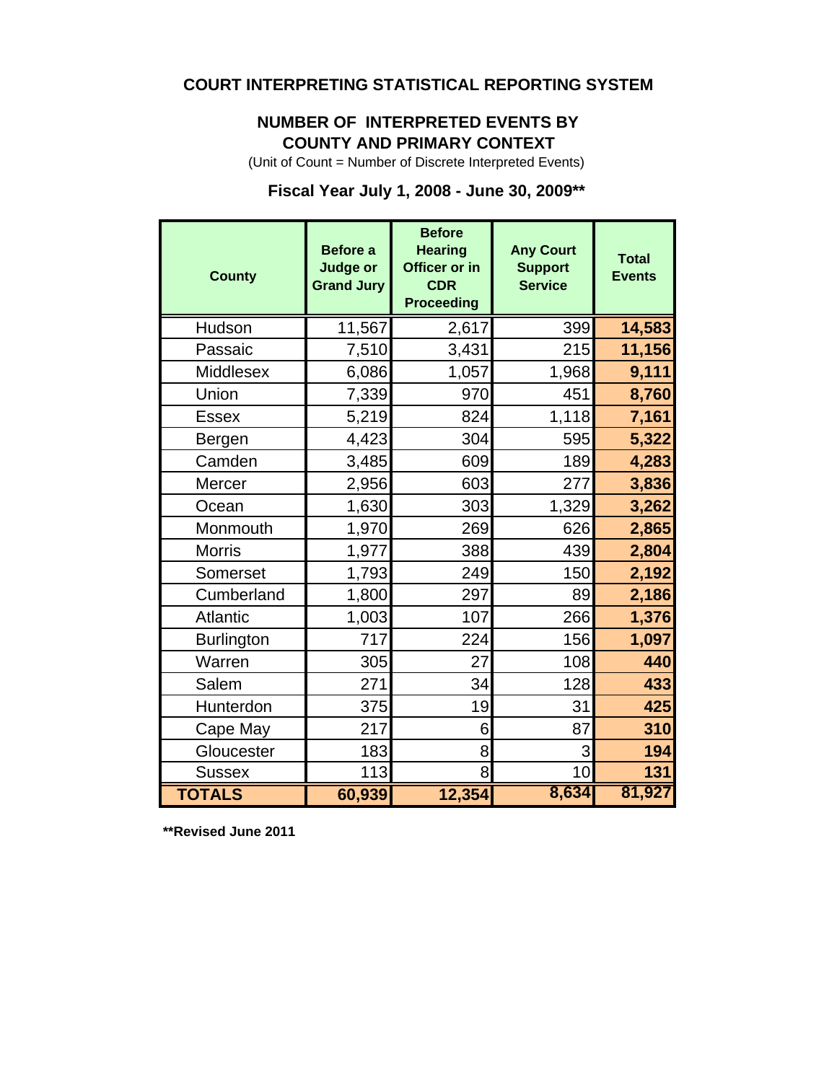### **COURT INTERPRETING STATISTICAL REPORTING SYSTEM**

### **NUMBER OF INTERPRETED EVENTS BY COUNTY AND PRIMARY CONTEXT**

(Unit of Count = Number of Discrete Interpreted Events)

# **Fiscal Year July 1, 2008 - June 30, 2009\*\***

| <b>County</b>     | Before a<br><b>Judge or</b><br><b>Grand Jury</b> | <b>Before</b><br><b>Hearing</b><br>Officer or in<br><b>CDR</b><br><b>Proceeding</b> | <b>Any Court</b><br><b>Support</b><br><b>Service</b> | <b>Total</b><br><b>Events</b> |
|-------------------|--------------------------------------------------|-------------------------------------------------------------------------------------|------------------------------------------------------|-------------------------------|
| Hudson            | 11,567                                           | 2,617                                                                               | 399                                                  | 14,583                        |
| Passaic           | 7,510                                            | 3,431                                                                               | 215                                                  | 11,156                        |
| Middlesex         | 6,086                                            | 1,057                                                                               | 1,968                                                | 9,111                         |
| Union             | 7,339                                            | 970                                                                                 | 451                                                  | 8,760                         |
| <b>Essex</b>      | 5,219                                            | 824                                                                                 | 1,118                                                | 7,161                         |
| Bergen            | 4,423                                            | 304                                                                                 | 595                                                  | 5,322                         |
| Camden            | 3,485                                            | 609                                                                                 | 189                                                  | 4,283                         |
| Mercer            | 2,956                                            | 603                                                                                 | 277                                                  | 3,836                         |
| Ocean             | 1,630                                            | 303                                                                                 | 1,329                                                | 3,262                         |
| Monmouth          | 1,970                                            | 269                                                                                 | 626                                                  | 2,865                         |
| <b>Morris</b>     | 1,977                                            | 388                                                                                 | 439                                                  | 2,804                         |
| Somerset          | 1,793                                            | 249                                                                                 | 150                                                  | 2,192                         |
| Cumberland        | 1,800                                            | 297                                                                                 | 89                                                   | 2,186                         |
| Atlantic          | 1,003                                            | 107                                                                                 | 266                                                  | 1,376                         |
| <b>Burlington</b> | 717                                              | 224                                                                                 | 156                                                  | 1,097                         |
| Warren            | 305                                              | 27                                                                                  | 108                                                  | 440                           |
| Salem             | 271                                              | 34                                                                                  | 128                                                  | 433                           |
| Hunterdon         | 375                                              | 19                                                                                  | 31                                                   | 425                           |
| Cape May          | 217                                              | 6                                                                                   | 87                                                   | 310                           |
| Gloucester        | 183                                              | 8                                                                                   | 3                                                    | 194                           |
| <b>Sussex</b>     | 113                                              | 8                                                                                   | 10                                                   | 131                           |
| <b>TOTALS</b>     | 60,939                                           | 12,354                                                                              | 8,634                                                | 81,927                        |

**\*\*Revised June 2011**